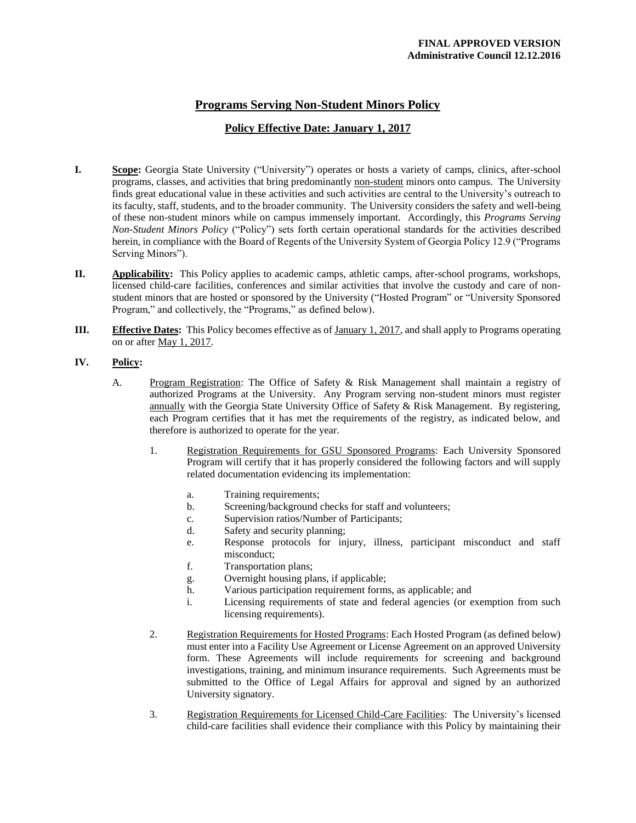## **Programs Serving Non-Student Minors Policy**

## **Policy Effective Date: January 1, 2017**

- **I. Scope:** Georgia State University ("University") operates or hosts a variety of camps, clinics, after-school programs, classes, and activities that bring predominantly non-student minors onto campus. The University finds great educational value in these activities and such activities are central to the University's outreach to its faculty, staff, students, and to the broader community. The University considers the safety and well-being of these non-student minors while on campus immensely important. Accordingly, this *Programs Serving Non-Student Minors Policy* ("Policy") sets forth certain operational standards for the activities described herein, in compliance with the Board of Regents of the University System of Georgia Policy 12.9 ("Programs Serving Minors").
- **II. Applicability:** This Policy applies to academic camps, athletic camps, after-school programs, workshops, licensed child-care facilities, conferences and similar activities that involve the custody and care of nonstudent minors that are hosted or sponsored by the University ("Hosted Program" or "University Sponsored Program," and collectively, the "Programs," as defined below).
- **III. Effective Dates:** This Policy becomes effective as of January 1, 2017, and shall apply to Programs operating on or after May 1, 2017.

## **IV. Policy:**

- A. Program Registration: The Office of Safety & Risk Management shall maintain a registry of authorized Programs at the University. Any Program serving non-student minors must register annually with the Georgia State University Office of Safety & Risk Management. By registering, each Program certifies that it has met the requirements of the registry, as indicated below, and therefore is authorized to operate for the year.
	- 1. Registration Requirements for GSU Sponsored Programs: Each University Sponsored Program will certify that it has properly considered the following factors and will supply related documentation evidencing its implementation:
		- a. Training requirements;
		- b. Screening/background checks for staff and volunteers;
		- c. Supervision ratios/Number of Participants;
		- d. Safety and security planning;
		- e. Response protocols for injury, illness, participant misconduct and staff misconduct;
		- f. Transportation plans;
		- g. Overnight housing plans, if applicable;
		- h. Various participation requirement forms, as applicable; and
		- i. Licensing requirements of state and federal agencies (or exemption from such licensing requirements).
	- 2. Registration Requirements for Hosted Programs: Each Hosted Program (as defined below) must enter into a Facility Use Agreement or License Agreement on an approved University form. These Agreements will include requirements for screening and background investigations, training, and minimum insurance requirements. Such Agreements must be submitted to the Office of Legal Affairs for approval and signed by an authorized University signatory.
	- 3. Registration Requirements for Licensed Child-Care Facilities: The University's licensed child-care facilities shall evidence their compliance with this Policy by maintaining their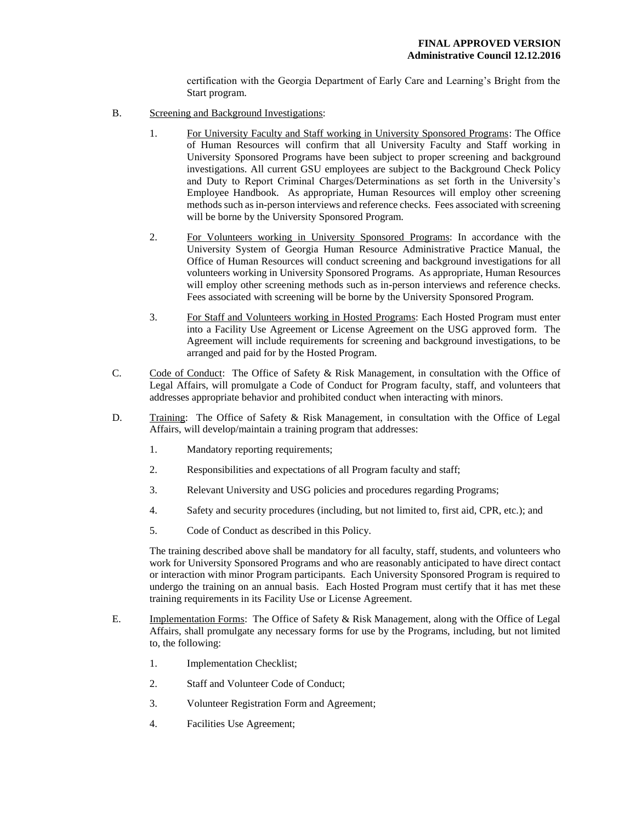certification with the Georgia Department of Early Care and Learning's Bright from the Start program.

- B. Screening and Background Investigations:
	- 1. For University Faculty and Staff working in University Sponsored Programs: The Office of Human Resources will confirm that all University Faculty and Staff working in University Sponsored Programs have been subject to proper screening and background investigations. All current GSU employees are subject to the Background Check Policy and Duty to Report Criminal Charges/Determinations as set forth in the University's Employee Handbook. As appropriate, Human Resources will employ other screening methods such as in-person interviews and reference checks. Fees associated with screening will be borne by the University Sponsored Program.
	- 2. For Volunteers working in University Sponsored Programs: In accordance with the University System of Georgia Human Resource Administrative Practice Manual, the Office of Human Resources will conduct screening and background investigations for all volunteers working in University Sponsored Programs. As appropriate, Human Resources will employ other screening methods such as in-person interviews and reference checks. Fees associated with screening will be borne by the University Sponsored Program.
	- 3. For Staff and Volunteers working in Hosted Programs: Each Hosted Program must enter into a Facility Use Agreement or License Agreement on the USG approved form. The Agreement will include requirements for screening and background investigations, to be arranged and paid for by the Hosted Program.
- C. Code of Conduct: The Office of Safety & Risk Management, in consultation with the Office of Legal Affairs, will promulgate a Code of Conduct for Program faculty, staff, and volunteers that addresses appropriate behavior and prohibited conduct when interacting with minors.
- D. Training: The Office of Safety & Risk Management, in consultation with the Office of Legal Affairs, will develop/maintain a training program that addresses:
	- 1. Mandatory reporting requirements;
	- 2. Responsibilities and expectations of all Program faculty and staff;
	- 3. Relevant University and USG policies and procedures regarding Programs;
	- 4. Safety and security procedures (including, but not limited to, first aid, CPR, etc.); and
	- 5. Code of Conduct as described in this Policy.

The training described above shall be mandatory for all faculty, staff, students, and volunteers who work for University Sponsored Programs and who are reasonably anticipated to have direct contact or interaction with minor Program participants. Each University Sponsored Program is required to undergo the training on an annual basis. Each Hosted Program must certify that it has met these training requirements in its Facility Use or License Agreement.

- E. Implementation Forms: The Office of Safety & Risk Management, along with the Office of Legal Affairs, shall promulgate any necessary forms for use by the Programs, including, but not limited to, the following:
	- 1. Implementation Checklist;
	- 2. Staff and Volunteer Code of Conduct;
	- 3. Volunteer Registration Form and Agreement;
	- 4. Facilities Use Agreement;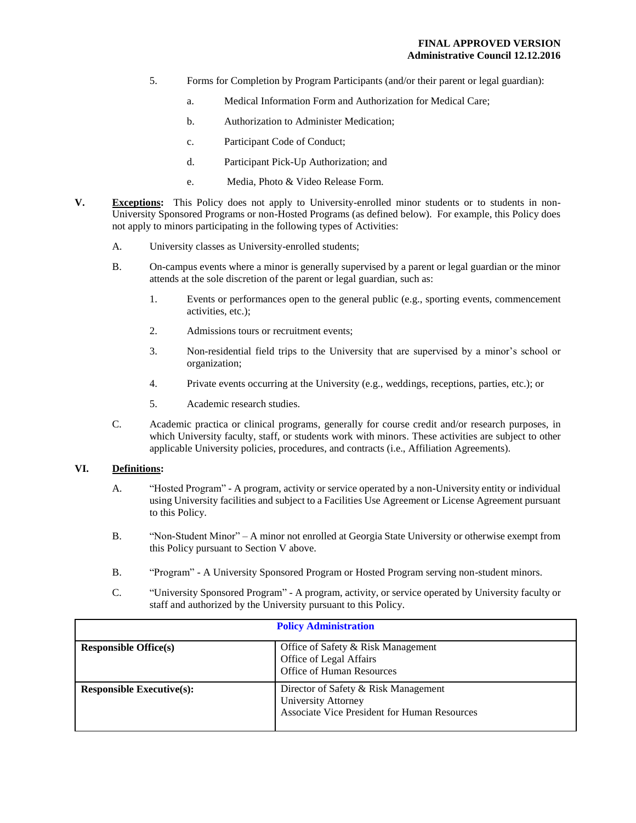- 5. Forms for Completion by Program Participants (and/or their parent or legal guardian):
	- a. Medical Information Form and Authorization for Medical Care;
	- b. Authorization to Administer Medication;
	- c. Participant Code of Conduct;
	- d. Participant Pick-Up Authorization; and
	- e. Media, Photo & Video Release Form.
- **V. Exceptions:** This Policy does not apply to University-enrolled minor students or to students in non-University Sponsored Programs or non-Hosted Programs (as defined below). For example, this Policy does not apply to minors participating in the following types of Activities:
	- A. University classes as University-enrolled students;
	- B. On-campus events where a minor is generally supervised by a parent or legal guardian or the minor attends at the sole discretion of the parent or legal guardian, such as:
		- 1. Events or performances open to the general public (e.g., sporting events, commencement activities, etc.);
		- 2. Admissions tours or recruitment events;
		- 3. Non-residential field trips to the University that are supervised by a minor's school or organization;
		- 4. Private events occurring at the University (e.g., weddings, receptions, parties, etc.); or
		- 5. Academic research studies.
	- C. Academic practica or clinical programs, generally for course credit and/or research purposes, in which University faculty, staff, or students work with minors. These activities are subject to other applicable University policies, procedures, and contracts (i.e., Affiliation Agreements).

## **VI. Definitions:**

- A. "Hosted Program" A program, activity or service operated by a non-University entity or individual using University facilities and subject to a Facilities Use Agreement or License Agreement pursuant to this Policy.
- B. "Non-Student Minor" A minor not enrolled at Georgia State University or otherwise exempt from this Policy pursuant to Section V above.
- B. "Program" A University Sponsored Program or Hosted Program serving non-student minors.
- C. "University Sponsored Program" A program, activity, or service operated by University faculty or staff and authorized by the University pursuant to this Policy.

| <b>Policy Administration</b>     |                                                                                                                    |
|----------------------------------|--------------------------------------------------------------------------------------------------------------------|
| <b>Responsible Office(s)</b>     | Office of Safety & Risk Management<br>Office of Legal Affairs<br>Office of Human Resources                         |
| <b>Responsible Executive(s):</b> | Director of Safety & Risk Management<br>University Attorney<br><b>Associate Vice President for Human Resources</b> |